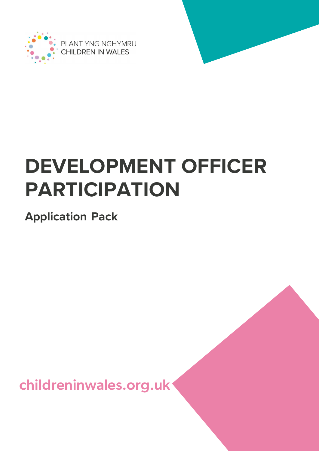

PLANT YNG NGHYMRU **CHILDREN IN WALES** 

# **DEVELOPMENT OFFICER PARTICIPATION**

**Application Pack**

childreninwales.org.uk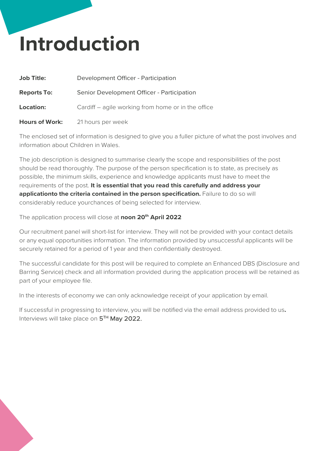## **Introduction**

| <b>Job Title:</b>     | Development Officer - Participation                |
|-----------------------|----------------------------------------------------|
| <b>Reports To:</b>    | Senior Development Officer - Participation         |
| <b>Location:</b>      | Cardiff – agile working from home or in the office |
| <b>Hours of Work:</b> | 21 hours per week                                  |

The enclosed set of information is designed to give you a fuller picture of what the post involves and information about Children in Wales.

The job description is designed to summarise clearly the scope and responsibilities of the post should be read thoroughly. The purpose of the person specification is to state, as precisely as possible, the minimum skills, experience and knowledge applicants must have to meet the requirements of the post. **It is essential that you read this carefully and address your applicationto the criteria contained in the person specification.** Failure to do so will considerably reduce yourchances of being selected for interview.

The application process will close at **noon 20th April 2022**

Our recruitment panel will short-list for interview. They will not be provided with your contact details or any equal opportunities information. The information provided by unsuccessful applicants will be securely retained for a period of 1 year and then confidentially destroyed.

The successful candidate for this post will be required to complete an Enhanced DBS (Disclosure and Barring Service) check and all information provided during the application process will be retained as part of your employee file.

In the interests of economy we can only acknowledge receipt of your application by email.

If successful in progressing to interview, you will be notified via the email address provided to us**.** Interviews will take place on 5<sup>TH</sup> May 2022.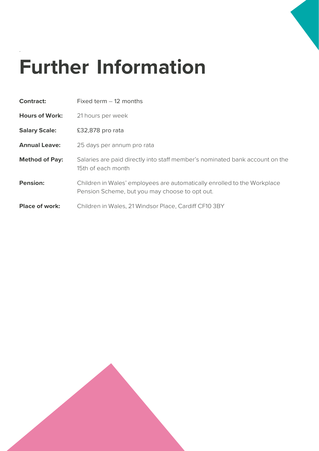

# **Further Information**

.

| <b>Contract:</b>      | Fixed term $-12$ months                                                                                                    |
|-----------------------|----------------------------------------------------------------------------------------------------------------------------|
| <b>Hours of Work:</b> | 21 hours per week                                                                                                          |
| <b>Salary Scale:</b>  | £32,878 pro rata                                                                                                           |
| <b>Annual Leave:</b>  | 25 days per annum pro rata                                                                                                 |
| <b>Method of Pay:</b> | Salaries are paid directly into staff member's nominated bank account on the<br>15th of each month                         |
| <b>Pension:</b>       | Children in Wales' employees are automatically enrolled to the Workplace<br>Pension Scheme, but you may choose to opt out. |
| <b>Place of work:</b> | Children in Wales, 21 Windsor Place, Cardiff CF10 3BY                                                                      |

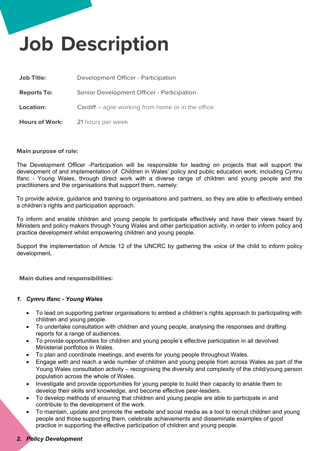# **Job Description**

| <b>Job Title:</b>     | Development Officer - Participation                |
|-----------------------|----------------------------------------------------|
| <b>Reports To:</b>    | Senior Development Officer - Participation         |
| <b>Location:</b>      | Cardiff – agile working from home or in the office |
| <b>Hours of Work:</b> | 21 hours per week                                  |

#### **Main purpose of role:**

The Development Officer -Participation will be responsible for leading on projects that will support the development of and implementation of Children in Wales' policy and public education work, including Cymru Ifanc - Young Wales, through direct work with a diverse range of children and young people and the practitioners and the organisations that support them, namely:

To provide advice, guidance and training to organisations and partners, so they are able to effectively embed a children's rights and participation approach.

To inform and enable children and young people to participate effectively and have their views heard by Ministers and policy makers through Young Wales and other participation activity, in order to inform policy and practice development whilst empowering children and young people.

Support the implementation of Article 12 of the UNCRC by gathering the voice of the child to inform policy development*.*

**Main duties and responsibilities:**

#### *1. Cymru Ifanc - Young Wales*

- To lead on supporting partner organisations to embed a children's rights approach to participating with children and young people.
- To undertake consultation with children and young people, analysing the responses and drafting reports for a range of audiences.
- To provide opportunities for children and young people's effective participation in all devolved Ministerial portfolios in Wales.
- To plan and coordinate meetings, and events for young people throughout Wales.
- Engage with and reach a wide number of children and young people from across Wales as part of the Young Wales consultation activity – recognising the diversity and complexity of the child/young person population across the whole of Wales.
- Investigate and provide opportunities for young people to build their capacity to enable them to develop their skills and knowledge, and become effective peer-leaders.
- To develop methods of ensuring that children and young people are able to participate in and contribute to the development of the work.
- To maintain, update and promote the website and social media as a tool to recruit children and young people and those supporting them, celebrate achievements and disseminate examples of good practice in supporting the effective participation of children and young people.

## *2. Policy Development*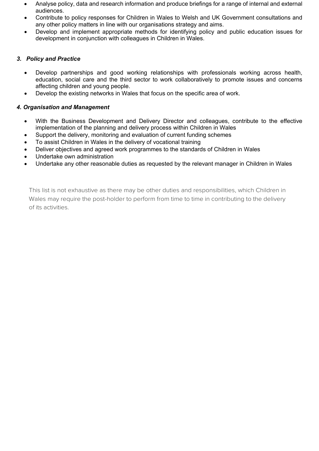- Analyse policy, data and research information and produce briefings for a range of internal and external audiences.
- Contribute to policy responses for Children in Wales to Welsh and UK Government consultations and any other policy matters in line with our organisations strategy and aims.
- Develop and implement appropriate methods for identifying policy and public education issues for development in conjunction with colleagues in Children in Wales.

## *3. Policy and Practice*

- Develop partnerships and good working relationships with professionals working across health, education, social care and the third sector to work collaboratively to promote issues and concerns affecting children and young people.
- Develop the existing networks in Wales that focus on the specific area of work.

### *4. Organisation and Management*

- With the Business Development and Delivery Director and colleagues, contribute to the effective implementation of the planning and delivery process within Children in Wales
- Support the delivery, monitoring and evaluation of current funding schemes
- To assist Children in Wales in the delivery of vocational training
- Deliver objectives and agreed work programmes to the standards of Children in Wales
- Undertake own administration
- Undertake any other reasonable duties as requested by the relevant manager in Children in Wales

This list is not exhaustive as there may be other duties and responsibilities, which Children in Wales may require the post-holder to perform from time to time in contributing to the delivery of its activities.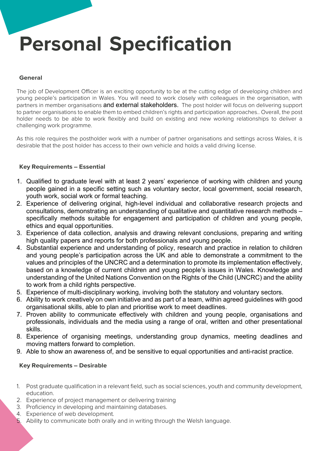**Personal Specification**

#### **General**

The job of Development Officer is an exciting opportunity to be at the cutting edge of developing children and young people's participation in Wales. You will need to work closely with colleagues in the organisation, with partners in member organisations and external stakeholders. The post holder will focus on delivering support to partner organisations to enable them to embed children's rights and participation approaches.. Overall, the post holder needs to be able to work flexibly and build on existing and new working relationships to deliver a challenging work programme.

As this role requires the postholder work with a number of partner organisations and settings across Wales, it is desirable that the post holder has access to their own vehicle and holds a valid driving license.

### **Key Requirements – Essential**

- 1. Qualified to graduate level with at least 2 years' experience of working with children and young people gained in a specific setting such as voluntary sector, local government, social research, youth work, social work or formal teaching.
- 2. Experience of delivering original, high-level individual and collaborative research projects and consultations, demonstrating an understanding of qualitative and quantitative research methods – specifically methods suitable for engagement and participation of children and young people, ethics and equal opportunities.
- 3. Experience of data collection, analysis and drawing relevant conclusions, preparing and writing high quality papers and reports for both professionals and young people.
- 4. Substantial experience and understanding of policy, research and practice in relation to children and young people's participation across the UK and able to demonstrate a commitment to the values and principles of the UNCRC and a determination to promote its implementation effectively, based on a knowledge of current children and young people's issues in Wales. Knowledge and understanding of the United Nations Convention on the Rights of the Child (UNCRC) and the ability to work from a child rights perspective.
- 5. Experience of multi-disciplinary working, involving both the statutory and voluntary sectors.
- 6. Ability to work creatively on own initiative and as part of a team, within agreed guidelines with good organisational skills, able to plan and prioritise work to meet deadlines.
- 7. Proven ability to communicate effectively with children and young people, organisations and professionals, individuals and the media using a range of oral, written and other presentational skills.
- 8. Experience of organising meetings, understanding group dynamics, meeting deadlines and moving matters forward to completion.
- 9. Able to show an awareness of, and be sensitive to equal opportunities and anti-racist practice.

#### **Key Requirements – Desirable**

- 1. Post graduate qualification in a relevant field, such as social sciences, youth and community development, education.
- 2. Experience of project management or delivering training
- 3. Proficiency in developing and maintaining databases.
- 4. Experience of web development.
- 5. Ability to communicate both orally and in writing through the Welsh language.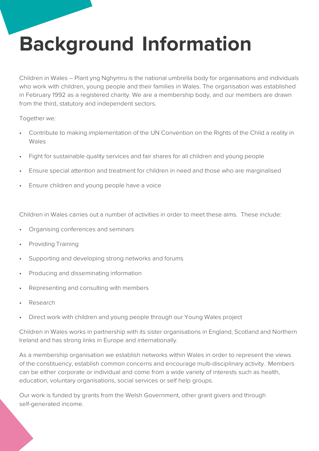# **Background Information**

Children in Wales – Plant yng Nghymru is the national umbrella body for organisations and individuals who work with children, young people and their families in Wales. The organisation was established in February 1992 as a registered charity. We are a membership body, and our members are drawn from the third, statutory and independent sectors.

Together we:

- Contribute to making implementation of the UN Convention on the Rights of the Child a reality in Wales
- Fight for sustainable quality services and fair shares for all children and young people
- Ensure special attention and treatment for children in need and those who are marginalised
- Ensure children and young people have a voice

Children in Wales carries out a number of activities in order to meet these aims. These include:

- Organising conferences and seminars
- Providing Training
- Supporting and developing strong networks and forums
- Producing and disseminating information
- Representing and consulting with members
- Research
- Direct work with children and young people through our Young Wales project

Children in Wales works in partnership with its sister organisations in England, Scotland and Northern Ireland and has strong links in Europe and internationally.

As a membership organisation we establish networks within Wales in order to represent the views of the constituency, establish common concerns and encourage multi-disciplinary activity. Members can be either corporate or individual and come from a wide variety of interests such as health, education, voluntary organisations, social services or self help groups.

Our work is funded by grants from the Welsh Government, other grant givers and through self-generated income.